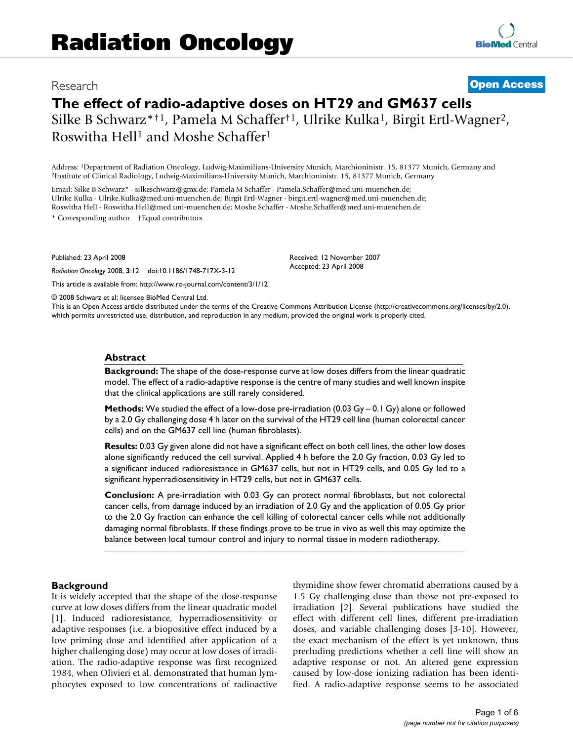# Research **[Open Access](http://www.biomedcentral.com/info/about/charter/)**

# **The effect of radio-adaptive doses on HT29 and GM637 cells** Silke B Schwarz\*†1, Pamela M Schaffer†1, Ulrike Kulka1, Birgit Ertl-Wagner2,

Roswitha Hell1 and Moshe Schaffer1

Address: <sup>1</sup>Department of Radiation Oncology, Ludwig-Maximilians-University Munich, Marchioninistr. 15, 81377 Munich, Germany and <sup>2</sup>Institute of Clinical Radiology, Ludwig-Maximilians-University Munich, Marchioninistr. 15

Email: Silke B Schwarz\* - silkeschwarz@gmx.de; Pamela M Schaffer - Pamela.Schaffer@med.uni-muenchen.de; Ulrike Kulka - Ulrike.Kulka@med.uni-muenchen.de; Birgit Ertl-Wagner - birgit.ertl-wagner@med.uni-muenchen.de; Roswitha Hell - Roswitha.Hell@med.uni-muenchen.de; Moshe Schaffer - Moshe.Schaffer@med.uni-muenchen.de

\* Corresponding author †Equal contributors

Published: 23 April 2008

*Radiation Oncology* 2008, **3**:12 doi:10.1186/1748-717X-3-12 [This article is available from: http://www.ro-journal.com/content/3/1/12](http://www.ro-journal.com/content/3/1/12) Received: 12 November 2007 Accepted: 23 April 2008

© 2008 Schwarz et al; licensee BioMed Central Ltd.

This is an Open Access article distributed under the terms of the Creative Commons Attribution License [\(http://creativecommons.org/licenses/by/2.0\)](http://creativecommons.org/licenses/by/2.0), which permits unrestricted use, distribution, and reproduction in any medium, provided the original work is properly cited.

#### **Abstract**

**Background:** The shape of the dose-response curve at low doses differs from the linear quadratic model. The effect of a radio-adaptive response is the centre of many studies and well known inspite that the clinical applications are still rarely considered.

**Methods:** We studied the effect of a low-dose pre-irradiation (0.03 Gy – 0.1 Gy) alone or followed by a 2.0 Gy challenging dose 4 h later on the survival of the HT29 cell line (human colorectal cancer cells) and on the GM637 cell line (human fibroblasts).

**Results:** 0.03 Gy given alone did not have a significant effect on both cell lines, the other low doses alone significantly reduced the cell survival. Applied 4 h before the 2.0 Gy fraction, 0.03 Gy led to a significant induced radioresistance in GM637 cells, but not in HT29 cells, and 0.05 Gy led to a significant hyperradiosensitivity in HT29 cells, but not in GM637 cells.

**Conclusion:** A pre-irradiation with 0.03 Gy can protect normal fibroblasts, but not colorectal cancer cells, from damage induced by an irradiation of 2.0 Gy and the application of 0.05 Gy prior to the 2.0 Gy fraction can enhance the cell killing of colorectal cancer cells while not additionally damaging normal fibroblasts. If these findings prove to be true in vivo as well this may optimize the balance between local tumour control and injury to normal tissue in modern radiotherapy.

#### **Background**

It is widely accepted that the shape of the dose-response curve at low doses differs from the linear quadratic model [1]. Induced radioresistance, hyperradiosensitivity or adaptive responses (i.e. a biopositive effect induced by a low priming dose and identified after application of a higher challenging dose) may occur at low doses of irradiation. The radio-adaptive response was first recognized 1984, when Olivieri et al. demonstrated that human lymphocytes exposed to low concentrations of radioactive thymidine show fewer chromatid aberrations caused by a 1.5 Gy challenging dose than those not pre-exposed to irradiation [2]. Several publications have studied the effect with different cell lines, different pre-irradiation doses, and variable challenging doses [3-10]. However, the exact mechanism of the effect is yet unknown, thus precluding predictions whether a cell line will show an adaptive response or not. An altered gene expression caused by low-dose ionizing radiation has been identified. A radio-adaptive response seems to be associated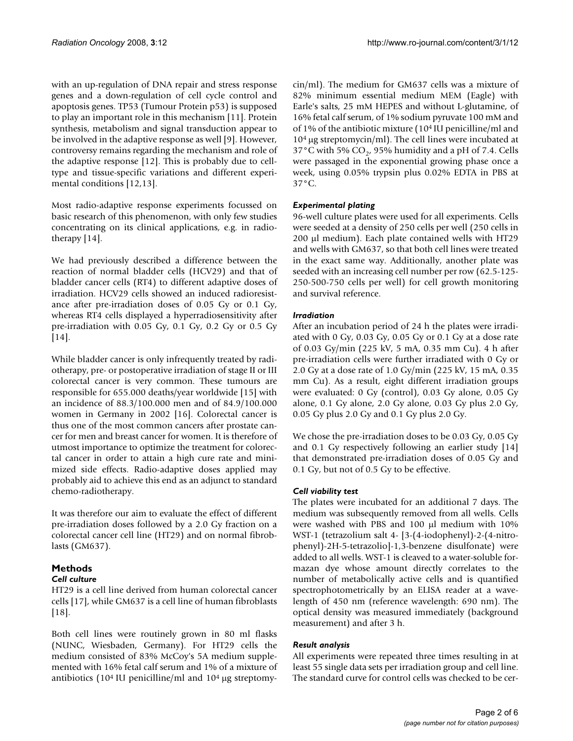with an up-regulation of DNA repair and stress response genes and a down-regulation of cell cycle control and apoptosis genes. TP53 (Tumour Protein p53) is supposed to play an important role in this mechanism [11]. Protein synthesis, metabolism and signal transduction appear to be involved in the adaptive response as well [9]. However, controversy remains regarding the mechanism and role of the adaptive response [12]. This is probably due to celltype and tissue-specific variations and different experimental conditions [12,13].

Most radio-adaptive response experiments focussed on basic research of this phenomenon, with only few studies concentrating on its clinical applications, e.g. in radiotherapy [14].

We had previously described a difference between the reaction of normal bladder cells (HCV29) and that of bladder cancer cells (RT4) to different adaptive doses of irradiation. HCV29 cells showed an induced radioresistance after pre-irradiation doses of 0.05 Gy or 0.1 Gy, whereas RT4 cells displayed a hyperradiosensitivity after pre-irradiation with 0.05 Gy, 0.1 Gy, 0.2 Gy or 0.5 Gy [14].

While bladder cancer is only infrequently treated by radiotherapy, pre- or postoperative irradiation of stage II or III colorectal cancer is very common. These tumours are responsible for 655.000 deaths/year worldwide [15] with an incidence of 88.3/100.000 men and of 84.9/100.000 women in Germany in 2002 [16]. Colorectal cancer is thus one of the most common cancers after prostate cancer for men and breast cancer for women. It is therefore of utmost importance to optimize the treatment for colorectal cancer in order to attain a high cure rate and minimized side effects. Radio-adaptive doses applied may probably aid to achieve this end as an adjunct to standard chemo-radiotherapy.

It was therefore our aim to evaluate the effect of different pre-irradiation doses followed by a 2.0 Gy fraction on a colorectal cancer cell line (HT29) and on normal fibroblasts (GM637).

#### **Methods** *Cell culture*

HT29 is a cell line derived from human colorectal cancer cells [17], while GM637 is a cell line of human fibroblasts [18].

Both cell lines were routinely grown in 80 ml flasks (NUNC, Wiesbaden, Germany). For HT29 cells the medium consisted of 83% McCoy's 5A medium supplemented with 16% fetal calf serum and 1% of a mixture of antibiotics (104 IU penicilline/ml and 104 μg streptomycin/ml). The medium for GM637 cells was a mixture of 82% minimum essential medium MEM (Eagle) with Earle's salts, 25 mM HEPES and without L-glutamine, of 16% fetal calf serum, of 1% sodium pyruvate 100 mM and of 1% of the antibiotic mixture (104 IU penicilline/ml and 104 μg streptomycin/ml). The cell lines were incubated at 37°C with 5%  $CO<sub>2</sub>$ , 95% humidity and a pH of 7.4. Cells were passaged in the exponential growing phase once a week, using 0.05% trypsin plus 0.02% EDTA in PBS at 37°C.

# *Experimental plating*

96-well culture plates were used for all experiments. Cells were seeded at a density of 250 cells per well (250 cells in 200 μl medium). Each plate contained wells with HT29 and wells with GM637, so that both cell lines were treated in the exact same way. Additionally, another plate was seeded with an increasing cell number per row (62.5-125- 250-500-750 cells per well) for cell growth monitoring and survival reference.

# *Irradiation*

After an incubation period of 24 h the plates were irradiated with 0 Gy, 0.03 Gy, 0.05 Gy or 0.1 Gy at a dose rate of 0.03 Gy/min (225 kV, 5 mA, 0.35 mm Cu). 4 h after pre-irradiation cells were further irradiated with 0 Gy or 2.0 Gy at a dose rate of 1.0 Gy/min (225 kV, 15 mA, 0.35 mm Cu). As a result, eight different irradiation groups were evaluated: 0 Gy (control), 0.03 Gy alone, 0.05 Gy alone, 0.1 Gy alone, 2.0 Gy alone, 0.03 Gy plus 2.0 Gy, 0.05 Gy plus 2.0 Gy and 0.1 Gy plus 2.0 Gy.

We chose the pre-irradiation doses to be 0.03 Gy, 0.05 Gy and 0.1 Gy respectively following an earlier study [14] that demonstrated pre-irradiation doses of 0.05 Gy and 0.1 Gy, but not of 0.5 Gy to be effective.

# *Cell viability test*

The plates were incubated for an additional 7 days. The medium was subsequently removed from all wells. Cells were washed with PBS and 100 μl medium with 10% WST-1 (tetrazolium salt 4- [3-(4-iodophenyl)-2-(4-nitrophenyl)-2H-5-tetrazolio]-1,3-benzene disulfonate) were added to all wells. WST-1 is cleaved to a water-soluble formazan dye whose amount directly correlates to the number of metabolically active cells and is quantified spectrophotometrically by an ELISA reader at a wavelength of 450 nm (reference wavelength: 690 nm). The optical density was measured immediately (background measurement) and after 3 h.

# *Result analysis*

All experiments were repeated three times resulting in at least 55 single data sets per irradiation group and cell line. The standard curve for control cells was checked to be cer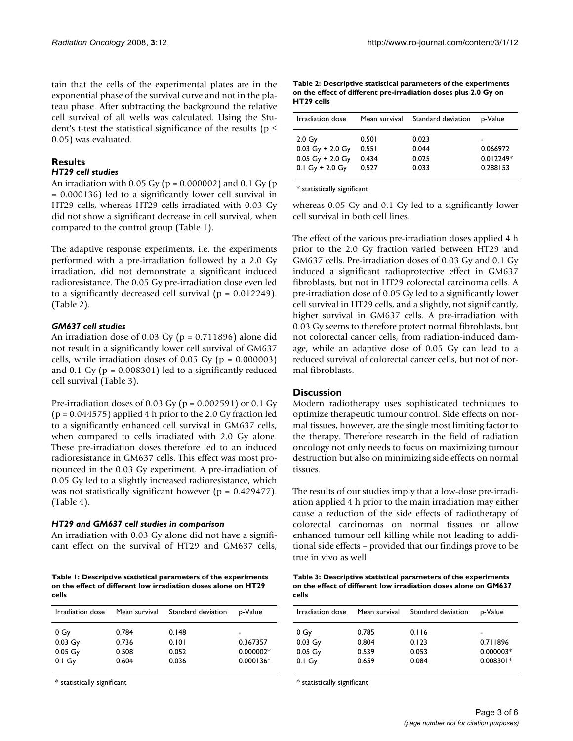tain that the cells of the experimental plates are in the exponential phase of the survival curve and not in the plateau phase. After subtracting the background the relative cell survival of all wells was calculated. Using the Student's t-test the statistical significance of the results ( $p \le$ 0.05) was evaluated.

# **Results**

# *HT29 cell studies*

An irradiation with 0.05 Gy ( $p = 0.000002$ ) and 0.1 Gy ( $p = 0.000002$ ) = 0.000136) led to a significantly lower cell survival in HT29 cells, whereas HT29 cells irradiated with 0.03 Gy did not show a significant decrease in cell survival, when compared to the control group (Table 1).

The adaptive response experiments, i.e. the experiments performed with a pre-irradiation followed by a 2.0 Gy irradiation, did not demonstrate a significant induced radioresistance. The 0.05 Gy pre-irradiation dose even led to a significantly decreased cell survival ( $p = 0.012249$ ). (Table 2).

# *GM637 cell studies*

An irradiation dose of 0.03 Gy ( $p = 0.711896$ ) alone did not result in a significantly lower cell survival of GM637 cells, while irradiation doses of  $0.05$  Gy ( $p = 0.000003$ ) and 0.1 Gy ( $p = 0.008301$ ) led to a significantly reduced cell survival (Table 3).

Pre-irradiation doses of 0.03 Gy ( $p = 0.002591$ ) or 0.1 Gy  $(p = 0.044575)$  applied 4 h prior to the 2.0 Gy fraction led to a significantly enhanced cell survival in GM637 cells, when compared to cells irradiated with 2.0 Gy alone. These pre-irradiation doses therefore led to an induced radioresistance in GM637 cells. This effect was most pronounced in the 0.03 Gy experiment. A pre-irradiation of 0.05 Gy led to a slightly increased radioresistance, which was not statistically significant however (p = 0.429477). (Table 4).

# *HT29 and GM637 cell studies in comparison*

An irradiation with 0.03 Gy alone did not have a significant effect on the survival of HT29 and GM637 cells,

**Table 1: Descriptive statistical parameters of the experiments on the effect of different low irradiation doses alone on HT29 cells**

| Irradiation dose | Mean survival | Standard deviation | p-Value     |
|------------------|---------------|--------------------|-------------|
| 0 Gy             | 0.784         | 0.148              | -           |
| $0.03$ Gy        | 0.736         | 0.101              | 0.367357    |
| $0.05\ Gy$       | 0.508         | 0.052              | $0.000002*$ |
| $0.1$ Gy         | 0.604         | 0.036              | $0.000136*$ |

\* statistically significant

**Table 2: Descriptive statistical parameters of the experiments on the effect of different pre-irradiation doses plus 2.0 Gy on HT29 cells**

| Irradiation dose   | Mean survival | Standard deviation | p-Value     |
|--------------------|---------------|--------------------|-------------|
| 2.0 <sub>g</sub>   | 0.501         | 0.023              | -           |
| $0.03$ Gy + 2.0 Gy | 0.551         | 0.044              | 0.066972    |
| $0.05$ Gy + 2.0 Gy | 0.434         | 0.025              | $0.012249*$ |
| $0.1 Gy + 2.0 Gy$  | 0.527         | 0.033              | 0.288153    |

\* statistically significant

whereas 0.05 Gy and 0.1 Gy led to a significantly lower cell survival in both cell lines.

The effect of the various pre-irradiation doses applied 4 h prior to the 2.0 Gy fraction varied between HT29 and GM637 cells. Pre-irradiation doses of 0.03 Gy and 0.1 Gy induced a significant radioprotective effect in GM637 fibroblasts, but not in HT29 colorectal carcinoma cells. A pre-irradiation dose of 0.05 Gy led to a significantly lower cell survival in HT29 cells, and a slightly, not significantly, higher survival in GM637 cells. A pre-irradiation with 0.03 Gy seems to therefore protect normal fibroblasts, but not colorectal cancer cells, from radiation-induced damage, while an adaptive dose of 0.05 Gy can lead to a reduced survival of colorectal cancer cells, but not of normal fibroblasts.

# **Discussion**

Modern radiotherapy uses sophisticated techniques to optimize therapeutic tumour control. Side effects on normal tissues, however, are the single most limiting factor to the therapy. Therefore research in the field of radiation oncology not only needs to focus on maximizing tumour destruction but also on minimizing side effects on normal tissues.

The results of our studies imply that a low-dose pre-irradiation applied 4 h prior to the main irradiation may either cause a reduction of the side effects of radiotherapy of colorectal carcinomas on normal tissues or allow enhanced tumour cell killing while not leading to additional side effects – provided that our findings prove to be true in vivo as well.

| Table 3: Descriptive statistical parameters of the experiments  |
|-----------------------------------------------------------------|
| on the effect of different low irradiation doses alone on GM637 |
| cells                                                           |

| Irradiation dose  | Mean survival | Standard deviation | p-Value     |
|-------------------|---------------|--------------------|-------------|
| 0 Gy              | 0.785         | 0.116              | -           |
| $0.03$ Gy         | 0.804         | 0.123              | 0.711896    |
| $0.05$ Gy         | 0.539         | 0.053              | $0.000003*$ |
| 0.1 <sub>Gy</sub> | 0.659         | 0.084              | $0.008301*$ |

\* statistically significant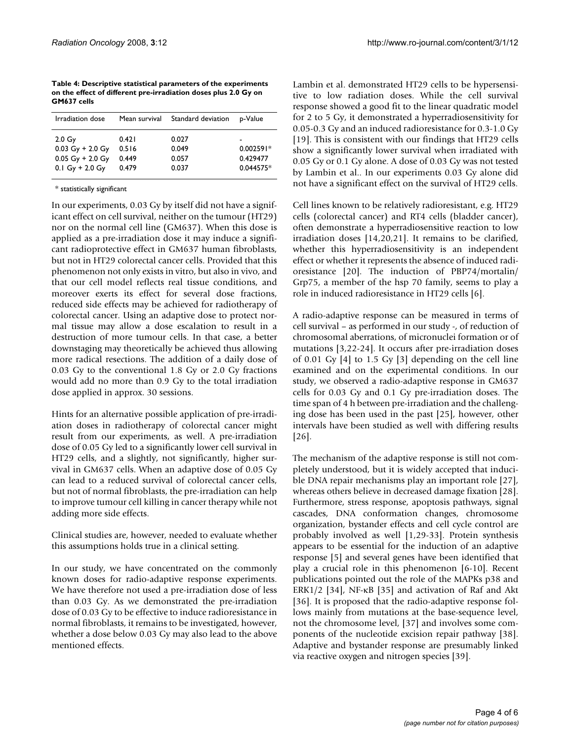**Table 4: Descriptive statistical parameters of the experiments on the effect of different pre-irradiation doses plus 2.0 Gy on GM637 cells**

| Irradiation dose                                                                  | Mean survival                    | Standard deviation               | p-Value                              |
|-----------------------------------------------------------------------------------|----------------------------------|----------------------------------|--------------------------------------|
| 2.0 <sub>g</sub><br>$0.03$ Gy + 2.0 Gy<br>$0.05$ Gy + 2.0 Gy<br>$0.1$ Gy + 2.0 Gy | 0.421<br>0.516<br>0.449<br>0.479 | 0.027<br>0.049<br>0.057<br>0.037 | $0.002591*$<br>0.429477<br>0.044575* |

\* statistically significant

In our experiments, 0.03 Gy by itself did not have a significant effect on cell survival, neither on the tumour (HT29) nor on the normal cell line (GM637). When this dose is applied as a pre-irradiation dose it may induce a significant radioprotective effect in GM637 human fibroblasts, but not in HT29 colorectal cancer cells. Provided that this phenomenon not only exists in vitro, but also in vivo, and that our cell model reflects real tissue conditions, and moreover exerts its effect for several dose fractions, reduced side effects may be achieved for radiotherapy of colorectal cancer. Using an adaptive dose to protect normal tissue may allow a dose escalation to result in a destruction of more tumour cells. In that case, a better downstaging may theoretically be achieved thus allowing more radical resections. The addition of a daily dose of 0.03 Gy to the conventional 1.8 Gy or 2.0 Gy fractions would add no more than 0.9 Gy to the total irradiation dose applied in approx. 30 sessions.

Hints for an alternative possible application of pre-irradiation doses in radiotherapy of colorectal cancer might result from our experiments, as well. A pre-irradiation dose of 0.05 Gy led to a significantly lower cell survival in HT29 cells, and a slightly, not significantly, higher survival in GM637 cells. When an adaptive dose of 0.05 Gy can lead to a reduced survival of colorectal cancer cells, but not of normal fibroblasts, the pre-irradiation can help to improve tumour cell killing in cancer therapy while not adding more side effects.

Clinical studies are, however, needed to evaluate whether this assumptions holds true in a clinical setting.

In our study, we have concentrated on the commonly known doses for radio-adaptive response experiments. We have therefore not used a pre-irradiation dose of less than 0.03 Gy. As we demonstrated the pre-irradiation dose of 0.03 Gy to be effective to induce radioresistance in normal fibroblasts, it remains to be investigated, however, whether a dose below 0.03 Gy may also lead to the above mentioned effects.

Lambin et al. demonstrated HT29 cells to be hypersensitive to low radiation doses. While the cell survival response showed a good fit to the linear quadratic model for 2 to 5 Gy, it demonstrated a hyperradiosensitivity for 0.05-0.3 Gy and an induced radioresistance for 0.3-1.0 Gy [19]. This is consistent with our findings that HT29 cells show a significantly lower survival when irradiated with 0.05 Gy or 0.1 Gy alone. A dose of 0.03 Gy was not tested by Lambin et al.. In our experiments 0.03 Gy alone did not have a significant effect on the survival of HT29 cells.

Cell lines known to be relatively radioresistant, e.g. HT29 cells (colorectal cancer) and RT4 cells (bladder cancer), often demonstrate a hyperradiosensitive reaction to low irradiation doses [14,20,21]. It remains to be clarified, whether this hyperradiosensitivity is an independent effect or whether it represents the absence of induced radioresistance [20]. The induction of PBP74/mortalin/ Grp75, a member of the hsp 70 family, seems to play a role in induced radioresistance in HT29 cells [6].

A radio-adaptive response can be measured in terms of cell survival – as performed in our study -, of reduction of chromosomal aberrations, of micronuclei formation or of mutations [3,22-[24](#page-4-0)]. It occurs after pre-irradiation doses of 0.01 Gy [4] to 1.5 Gy [3] depending on the cell line examined and on the experimental conditions. In our study, we observed a radio-adaptive response in GM637 cells for 0.03 Gy and 0.1 Gy pre-irradiation doses. The time span of 4 h between pre-irradiation and the challenging dose has been used in the past [25], however, other intervals have been studied as well with differing results [26].

The mechanism of the adaptive response is still not completely understood, but it is widely accepted that inducible DNA repair mechanisms play an important role [27], whereas others believe in decreased damage fixation [28]. Furthermore, stress response, apoptosis pathways, signal cascades, DNA conformation changes, chromosome organization, bystander effects and cell cycle control are probably involved as well [1,29-33]. Protein synthesis appears to be essential for the induction of an adaptive response [5] and several genes have been identified that play a crucial role in this phenomenon [6-10]. Recent publications pointed out the role of the MAPKs p38 and ERK1/2 [34], NF-κB [35] and activation of Raf and Akt [36]. It is proposed that the radio-adaptive response follows mainly from mutations at the base-sequence level, not the chromosome level, [37] and involves some components of the nucleotide excision repair pathway [38]. Adaptive and bystander response are presumably linked via reactive oxygen and nitrogen species [39].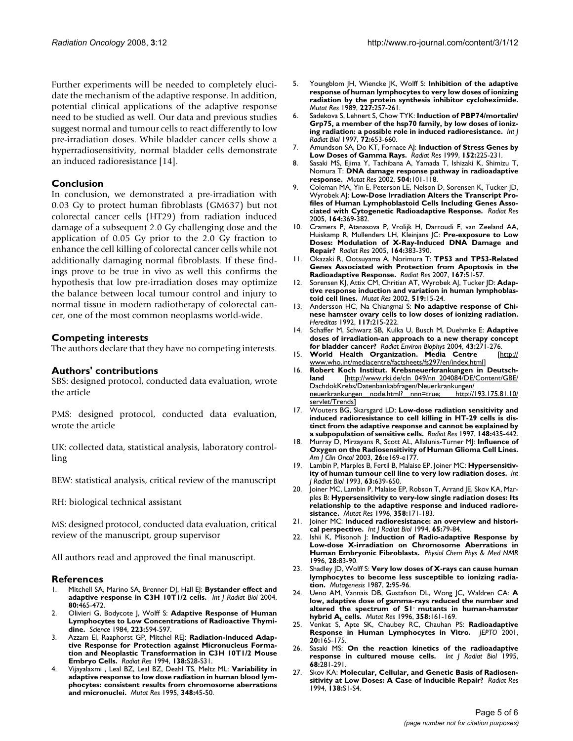Further experiments will be needed to completely elucidate the mechanism of the adaptive response. In addition, potential clinical applications of the adaptive response need to be studied as well. Our data and previous studies suggest normal and tumour cells to react differently to low pre-irradiation doses. While bladder cancer cells show a hyperradiosensitivity, normal bladder cells demonstrate an induced radioresistance [14].

# **Conclusion**

In conclusion, we demonstrated a pre-irradiation with 0.03 Gy to protect human fibroblasts (GM637) but not colorectal cancer cells (HT29) from radiation induced damage of a subsequent 2.0 Gy challenging dose and the application of 0.05 Gy prior to the 2.0 Gy fraction to enhance the cell killing of colorectal cancer cells while not additionally damaging normal fibroblasts. If these findings prove to be true in vivo as well this confirms the hypothesis that low pre-irradiation doses may optimize the balance between local tumour control and injury to normal tissue in modern radiotherapy of colorectal cancer, one of the most common neoplasms world-wide.

# **Competing interests**

The authors declare that they have no competing interests.

#### **Authors' contributions**

SBS: designed protocol, conducted data evaluation, wrote the article

PMS: designed protocol, conducted data evaluation, wrote the article

UK: collected data, statistical analysis, laboratory controlling

BEW: statistical analysis, critical review of the manuscript

RH: biological technical assistant

MS: designed protocol, conducted data evaluation, critical review of the manuscript, group supervisor

All authors read and approved the final manuscript.

#### **References**

- Mitchell SA, Marino SA, Brenner DJ, Hall EJ: [Bystander effect and](http://www.ncbi.nlm.nih.gov/entrez/query.fcgi?cmd=Retrieve&db=PubMed&dopt=Abstract&list_uids=15360084) **[adaptive response in C3H 10T1/2 cells.](http://www.ncbi.nlm.nih.gov/entrez/query.fcgi?cmd=Retrieve&db=PubMed&dopt=Abstract&list_uids=15360084)** *Int J Radiat Biol* 2004, **80:**465-472.
- 2. Olivieri G, Bodycote J, Wolff S: **[Adaptive Response of Human](http://www.ncbi.nlm.nih.gov/entrez/query.fcgi?cmd=Retrieve&db=PubMed&dopt=Abstract&list_uids=6695170) [Lymphocytes to Low Concentrations of Radioactive Thymi](http://www.ncbi.nlm.nih.gov/entrez/query.fcgi?cmd=Retrieve&db=PubMed&dopt=Abstract&list_uids=6695170)[dine.](http://www.ncbi.nlm.nih.gov/entrez/query.fcgi?cmd=Retrieve&db=PubMed&dopt=Abstract&list_uids=6695170)** *Science* 1984, **223:**594-597.
- 3. Azzam EI, Raaphorst GP, Mitchel REJ: **[Radiation-Induced Adap](http://www.ncbi.nlm.nih.gov/entrez/query.fcgi?cmd=Retrieve&db=PubMed&dopt=Abstract&list_uids=8146320)[tive Response for Protection against Micronucleus Forma](http://www.ncbi.nlm.nih.gov/entrez/query.fcgi?cmd=Retrieve&db=PubMed&dopt=Abstract&list_uids=8146320)tion and Neoplastic Transformation in C3H 10T1/2 Mouse [Embryo Cells.](http://www.ncbi.nlm.nih.gov/entrez/query.fcgi?cmd=Retrieve&db=PubMed&dopt=Abstract&list_uids=8146320)** *Radiat Res* 1994, **138:**S28-S31.
- 4. Vijayalaxmi , Leal BZ, Leal BZ, Deahl TS, Meltz ML: **[Variability in](http://www.ncbi.nlm.nih.gov/entrez/query.fcgi?cmd=Retrieve&db=PubMed&dopt=Abstract&list_uids=7565914) [adaptive response to low dose radiation in human blood lym](http://www.ncbi.nlm.nih.gov/entrez/query.fcgi?cmd=Retrieve&db=PubMed&dopt=Abstract&list_uids=7565914)phocytes: consistent results from chromosome aberrations [and micronuclei.](http://www.ncbi.nlm.nih.gov/entrez/query.fcgi?cmd=Retrieve&db=PubMed&dopt=Abstract&list_uids=7565914)** *Mutat Res* 1995, **348:**45-50.
- 5. Youngblom JH, Wiencke JK, Wolff S: **[Inhibition of the adaptive](http://www.ncbi.nlm.nih.gov/entrez/query.fcgi?cmd=Retrieve&db=PubMed&dopt=Abstract&list_uids=2586550) [response of human lymphocytes to very low doses of ionizing](http://www.ncbi.nlm.nih.gov/entrez/query.fcgi?cmd=Retrieve&db=PubMed&dopt=Abstract&list_uids=2586550) radiation by the protein synthesis inhibitor cycloheximide.** *Mutat Res* 1989, **227:**257-261.
- 6. Sadekova S, Lehnert S, Chow TYK: **[Induction of PBP74/mortalin/](http://www.ncbi.nlm.nih.gov/entrez/query.fcgi?cmd=Retrieve&db=PubMed&dopt=Abstract&list_uids=9416787) [Grp75, a member of the hsp70 family, by low doses of ioniz](http://www.ncbi.nlm.nih.gov/entrez/query.fcgi?cmd=Retrieve&db=PubMed&dopt=Abstract&list_uids=9416787)[ing radiation: a possible role in induced radioresistance.](http://www.ncbi.nlm.nih.gov/entrez/query.fcgi?cmd=Retrieve&db=PubMed&dopt=Abstract&list_uids=9416787)** *Int J Radiat Biol* 1997, **72:**653-660.
- 7. Amundson SA, Do KT, Fornace AJ: **[Induction of Stress Genes by](http://www.ncbi.nlm.nih.gov/entrez/query.fcgi?cmd=Retrieve&db=PubMed&dopt=Abstract&list_uids=10453082) [Low Doses of Gamma Rays.](http://www.ncbi.nlm.nih.gov/entrez/query.fcgi?cmd=Retrieve&db=PubMed&dopt=Abstract&list_uids=10453082)** *Radiat Res* 1999, **152:**225-231.
- 8. Sasaki MS, Ejima Y, Tachibana A, Yamada T, Ishizaki K, Shimizu T, Nomura T: **[DNA damage response pathway in radioadaptive](http://www.ncbi.nlm.nih.gov/entrez/query.fcgi?cmd=Retrieve&db=PubMed&dopt=Abstract&list_uids=12106651) [response.](http://www.ncbi.nlm.nih.gov/entrez/query.fcgi?cmd=Retrieve&db=PubMed&dopt=Abstract&list_uids=12106651)** *Mutat Res* 2002, **504:**101-118.
- 9. Coleman MA, Yin E, Peterson LE, Nelson D, Sorensen K, Tucker JD, Wyrobek AJ: **[Low-Dose Irradiation Alters the Transcript Pro](http://www.ncbi.nlm.nih.gov/entrez/query.fcgi?cmd=Retrieve&db=PubMed&dopt=Abstract&list_uids=16187739)[files of Human Lymphoblastoid Cells Including Genes Asso](http://www.ncbi.nlm.nih.gov/entrez/query.fcgi?cmd=Retrieve&db=PubMed&dopt=Abstract&list_uids=16187739)[ciated with Cytogenetic Radioadaptive Response.](http://www.ncbi.nlm.nih.gov/entrez/query.fcgi?cmd=Retrieve&db=PubMed&dopt=Abstract&list_uids=16187739)** *Radiat Res* 2005, **164:**369-382.
- 10. Cramers P, Atanasova P, Vrolijk H, Darroudi F, van Zeeland AA, Huiskamp R, Mullenders LH, Kleinjans JC: **[Pre-exposure to Low](http://www.ncbi.nlm.nih.gov/entrez/query.fcgi?cmd=Retrieve&db=PubMed&dopt=Abstract&list_uids=16187740) [Doses: Modulation of X-Ray-Induced DNA Damage and](http://www.ncbi.nlm.nih.gov/entrez/query.fcgi?cmd=Retrieve&db=PubMed&dopt=Abstract&list_uids=16187740) [Repair?](http://www.ncbi.nlm.nih.gov/entrez/query.fcgi?cmd=Retrieve&db=PubMed&dopt=Abstract&list_uids=16187740)** *Radiat Res* 2005, **164:**383-390.
- 11. Okazaki R, Ootsuyama A, Norimura T: **[TP53 and TP53-Related](http://www.ncbi.nlm.nih.gov/entrez/query.fcgi?cmd=Retrieve&db=PubMed&dopt=Abstract&list_uids=17214514) [Genes Associated with Protection from Apoptosis in the](http://www.ncbi.nlm.nih.gov/entrez/query.fcgi?cmd=Retrieve&db=PubMed&dopt=Abstract&list_uids=17214514) [Radioadaptive Response.](http://www.ncbi.nlm.nih.gov/entrez/query.fcgi?cmd=Retrieve&db=PubMed&dopt=Abstract&list_uids=17214514)** *Radiat Res* 2007, **167:**51-57.
- 12. Sorensen KJ, Attix CM, Chritian AT, Wyrobek AJ, Tucker JD: **[Adap](http://www.ncbi.nlm.nih.gov/entrez/query.fcgi?cmd=Retrieve&db=PubMed&dopt=Abstract&list_uids=12160888)[tive response induction and variation in human lymphoblas](http://www.ncbi.nlm.nih.gov/entrez/query.fcgi?cmd=Retrieve&db=PubMed&dopt=Abstract&list_uids=12160888)[toid cell lines.](http://www.ncbi.nlm.nih.gov/entrez/query.fcgi?cmd=Retrieve&db=PubMed&dopt=Abstract&list_uids=12160888)** *Mutat Res* 2002, **519:**15-24.
- 13. Andersson HC, Na Chiangmai S: **[No adaptive response of Chi](http://www.ncbi.nlm.nih.gov/entrez/query.fcgi?cmd=Retrieve&db=PubMed&dopt=Abstract&list_uids=1295849)[nese hamster ovary cells to low doses of ionizing radiation.](http://www.ncbi.nlm.nih.gov/entrez/query.fcgi?cmd=Retrieve&db=PubMed&dopt=Abstract&list_uids=1295849)** *Hereditas* 1992, **117:**215-222.
- 14. Schaffer M, Schwarz SB, Kulka U, Busch M, Duehmke E: **[Adaptive](http://www.ncbi.nlm.nih.gov/entrez/query.fcgi?cmd=Retrieve&db=PubMed&dopt=Abstract&list_uids=15455244) [doses of irradiation-an approach to a new therapy concept](http://www.ncbi.nlm.nih.gov/entrez/query.fcgi?cmd=Retrieve&db=PubMed&dopt=Abstract&list_uids=15455244) [for bladder cancer?](http://www.ncbi.nlm.nih.gov/entrez/query.fcgi?cmd=Retrieve&db=PubMed&dopt=Abstract&list_uids=15455244)** *Radiat Environ Biophys* 2004, **43:**271-276.
- 15. **World Health Organization. Media Centre** [\[http://](http://www.who.int/mediacentre/factsheets/fs297/en/index.html) [www.who.int/mediacentre/factsheets/fs297/en/index.html\]](http://www.who.int/mediacentre/factsheets/fs297/en/index.html)
- 16. **Robert Koch Institut. Krebsneuerkrankungen in Deutschland** [[http://www.rki.de/cln\\_049/nn\\_204084/DE/Content/GBE/](http://www.rki.de/cln_049/nn_204084/DE/Content/GBE/DachdokKrebs/Datenbankabfragen/Neuerkrankungen/neuerkrankungen__node.html?__nnn=true; http://193.175.81.10/servlet/Trends) DachdokKrebs/Datenbankabfragen/Neuerkrankungen/<br>neuerkrankungen node.html? nnn=true: http://193.175.81.10/ neuerkrankungen node.html? nnn=true; [servlet/Trends](http://www.rki.de/cln_049/nn_204084/DE/Content/GBE/DachdokKrebs/Datenbankabfragen/Neuerkrankungen/neuerkrankungen__node.html?__nnn=true; http://193.175.81.10/servlet/Trends)]
- 17. Wouters BG, Skarsgard LD: **[Low-dose radiation sensitivity and](http://www.ncbi.nlm.nih.gov/entrez/query.fcgi?cmd=Retrieve&db=PubMed&dopt=Abstract&list_uids=9355868) [induced radioresistance to cell killing in HT-29 cells is dis](http://www.ncbi.nlm.nih.gov/entrez/query.fcgi?cmd=Retrieve&db=PubMed&dopt=Abstract&list_uids=9355868)tinct from the adaptive response and cannot be explained by [a subpopulation of sensitive cells.](http://www.ncbi.nlm.nih.gov/entrez/query.fcgi?cmd=Retrieve&db=PubMed&dopt=Abstract&list_uids=9355868)** *Radiat Res* 1997, **148:**435-442.
- 18. Murray D, Mirzayans R, Scott AL, Allalunis-Turner MJ: **[Influence of](http://www.ncbi.nlm.nih.gov/entrez/query.fcgi?cmd=Retrieve&db=PubMed&dopt=Abstract&list_uids=14528093) [Oxygen on the Radiosensitivity of Human Glioma Cell Lines.](http://www.ncbi.nlm.nih.gov/entrez/query.fcgi?cmd=Retrieve&db=PubMed&dopt=Abstract&list_uids=14528093)** *Am J Clin Oncol* 2003, **26:**e169-e177.
- 19. Lambin P, Marples B, Fertil B, Malaise EP, Joiner MC: **[Hypersensitiv](http://www.ncbi.nlm.nih.gov/entrez/query.fcgi?cmd=Retrieve&db=PubMed&dopt=Abstract&list_uids=8099110)[ity of human tumour cell line to very low radiation doses.](http://www.ncbi.nlm.nih.gov/entrez/query.fcgi?cmd=Retrieve&db=PubMed&dopt=Abstract&list_uids=8099110)** *Int J Radiat Biol* 1993, **63:**639-650.
- 20. Joiner MC, Lambin P, Malaise EP, Robson T, Arrand JE, Skov KA, Marples B: **[Hypersensitivity to very-low single radiation doses: Its](http://www.ncbi.nlm.nih.gov/entrez/query.fcgi?cmd=Retrieve&db=PubMed&dopt=Abstract&list_uids=8946022) [relationship to the adaptive response and induced radiore](http://www.ncbi.nlm.nih.gov/entrez/query.fcgi?cmd=Retrieve&db=PubMed&dopt=Abstract&list_uids=8946022)[sistance.](http://www.ncbi.nlm.nih.gov/entrez/query.fcgi?cmd=Retrieve&db=PubMed&dopt=Abstract&list_uids=8946022)** *Mutat Res* 1996, **358:**171-183.
- 21. Joiner MC: **[Induced radioresistance: an overview and histori](http://www.ncbi.nlm.nih.gov/entrez/query.fcgi?cmd=Retrieve&db=PubMed&dopt=Abstract&list_uids=7905914)[cal perspective.](http://www.ncbi.nlm.nih.gov/entrez/query.fcgi?cmd=Retrieve&db=PubMed&dopt=Abstract&list_uids=7905914)** *Int J Radiat Biol* 1994, **65:**79-84.
- 22. Ishii K, Misonoh J: **[Induction of Radio-adaptive Response by](http://www.ncbi.nlm.nih.gov/entrez/query.fcgi?cmd=Retrieve&db=PubMed&dopt=Abstract&list_uids=8946767) [Low-dose X-irradiation on Chromosome Aberrations in](http://www.ncbi.nlm.nih.gov/entrez/query.fcgi?cmd=Retrieve&db=PubMed&dopt=Abstract&list_uids=8946767) [Human Embryonic Fibroblasts.](http://www.ncbi.nlm.nih.gov/entrez/query.fcgi?cmd=Retrieve&db=PubMed&dopt=Abstract&list_uids=8946767)** *Physiol Chem Phys & Med NMR* 1996, **28:**83-90.
- 23. Shadley JD, Wolff S: **[Very low doses of X-rays can cause human](http://www.ncbi.nlm.nih.gov/entrez/query.fcgi?cmd=Retrieve&db=PubMed&dopt=Abstract&list_uids=3137419) [lymphocytes to become less susceptible to ionizing radia](http://www.ncbi.nlm.nih.gov/entrez/query.fcgi?cmd=Retrieve&db=PubMed&dopt=Abstract&list_uids=3137419)[tion.](http://www.ncbi.nlm.nih.gov/entrez/query.fcgi?cmd=Retrieve&db=PubMed&dopt=Abstract&list_uids=3137419)** *Mutagenesis* 1987, **2:**95-96.
- <span id="page-4-0"></span>24. Ueno AM, Vannais DB, Gustafson DL, Wong JC, Waldren CA: **A low, adaptive dose of gamma-rays reduced the number and altered the spectrum of S1- mutants in human-hamster hybrid AL [cells.](http://www.ncbi.nlm.nih.gov/entrez/query.fcgi?cmd=Retrieve&db=PubMed&dopt=Abstract&list_uids=8946021)** *Mutat Res* 1996, **358:**161-169.
- 25. Venkat S, Apte SK, Chaubey RC, Chauhan PS: **[Radioadaptive](http://www.ncbi.nlm.nih.gov/entrez/query.fcgi?cmd=Retrieve&db=PubMed&dopt=Abstract&list_uids=11797826) [Response in Human Lymphocytes in Vitro.](http://www.ncbi.nlm.nih.gov/entrez/query.fcgi?cmd=Retrieve&db=PubMed&dopt=Abstract&list_uids=11797826)** *JEPTO* 2001, **20:**165-175.
- 26. Sasaki MS: **[On the reaction kinetics of the radioadaptive](http://www.ncbi.nlm.nih.gov/entrez/query.fcgi?cmd=Retrieve&db=PubMed&dopt=Abstract&list_uids=7561388) [response in cultured mouse cells.](http://www.ncbi.nlm.nih.gov/entrez/query.fcgi?cmd=Retrieve&db=PubMed&dopt=Abstract&list_uids=7561388)** *Int J Radiat Biol* 1995, **68:**281-291.
- 27. Skov KA: **[Molecular, Cellular, and Genetic Basis of Radiosen](http://www.ncbi.nlm.nih.gov/entrez/query.fcgi?cmd=Retrieve&db=PubMed&dopt=Abstract&list_uids=8146308)[sitivity at Low Doses: A Case of Inducible Repair?](http://www.ncbi.nlm.nih.gov/entrez/query.fcgi?cmd=Retrieve&db=PubMed&dopt=Abstract&list_uids=8146308)** *Radiat Res* 1994, **138:**S1-S4.